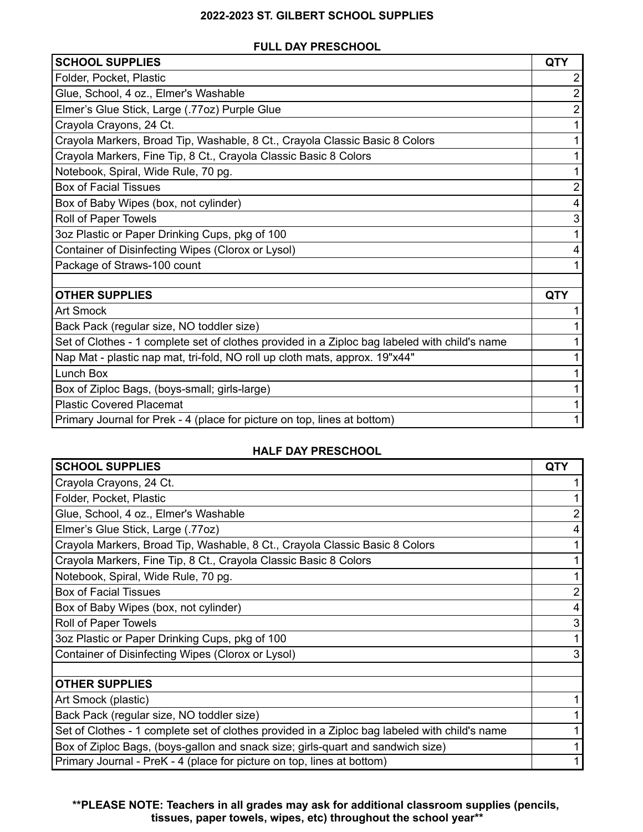## **2022-2023 ST. GILBERT SCHOOL SUPPLIES**

## **FULL DAY PRESCHOOL**

| <b>SCHOOL SUPPLIES</b>                                                                        | <b>QTY</b> |
|-----------------------------------------------------------------------------------------------|------------|
| Folder, Pocket, Plastic                                                                       |            |
| Glue, School, 4 oz., Elmer's Washable                                                         |            |
| Elmer's Glue Stick, Large (.77oz) Purple Glue                                                 |            |
| Crayola Crayons, 24 Ct.                                                                       |            |
| Crayola Markers, Broad Tip, Washable, 8 Ct., Crayola Classic Basic 8 Colors                   |            |
| Crayola Markers, Fine Tip, 8 Ct., Crayola Classic Basic 8 Colors                              |            |
| Notebook, Spiral, Wide Rule, 70 pg.                                                           |            |
| <b>Box of Facial Tissues</b>                                                                  |            |
| Box of Baby Wipes (box, not cylinder)                                                         |            |
| Roll of Paper Towels                                                                          |            |
| 3oz Plastic or Paper Drinking Cups, pkg of 100                                                |            |
| Container of Disinfecting Wipes (Clorox or Lysol)                                             |            |
| Package of Straws-100 count                                                                   |            |
|                                                                                               |            |
| <b>OTHER SUPPLIES</b>                                                                         | <b>QTY</b> |
| <b>Art Smock</b>                                                                              |            |
| Back Pack (regular size, NO toddler size)                                                     |            |
| Set of Clothes - 1 complete set of clothes provided in a Ziploc bag labeled with child's name |            |
| Nap Mat - plastic nap mat, tri-fold, NO roll up cloth mats, approx. 19"x44"                   |            |
| Lunch Box                                                                                     |            |
| Box of Ziploc Bags, (boys-small; girls-large)                                                 |            |
| <b>Plastic Covered Placemat</b>                                                               |            |
| Primary Journal for Prek - 4 (place for picture on top, lines at bottom)                      |            |

## **HALF DAY PRESCHOOL**

| <b>SCHOOL SUPPLIES</b>                                                                        | <b>QTY</b> |
|-----------------------------------------------------------------------------------------------|------------|
| Crayola Crayons, 24 Ct.                                                                       |            |
| Folder, Pocket, Plastic                                                                       |            |
| Glue, School, 4 oz., Elmer's Washable                                                         |            |
| Elmer's Glue Stick, Large (.77oz)                                                             |            |
| Crayola Markers, Broad Tip, Washable, 8 Ct., Crayola Classic Basic 8 Colors                   |            |
| Crayola Markers, Fine Tip, 8 Ct., Crayola Classic Basic 8 Colors                              |            |
| Notebook, Spiral, Wide Rule, 70 pg.                                                           |            |
| <b>Box of Facial Tissues</b>                                                                  |            |
| Box of Baby Wipes (box, not cylinder)                                                         |            |
| Roll of Paper Towels                                                                          |            |
| 3oz Plastic or Paper Drinking Cups, pkg of 100                                                |            |
| Container of Disinfecting Wipes (Clorox or Lysol)                                             |            |
|                                                                                               |            |
| <b>OTHER SUPPLIES</b>                                                                         |            |
| Art Smock (plastic)                                                                           |            |
| Back Pack (regular size, NO toddler size)                                                     |            |
| Set of Clothes - 1 complete set of clothes provided in a Ziploc bag labeled with child's name |            |
| Box of Ziploc Bags, (boys-gallon and snack size; girls-quart and sandwich size)               |            |
| Primary Journal - PreK - 4 (place for picture on top, lines at bottom)                        |            |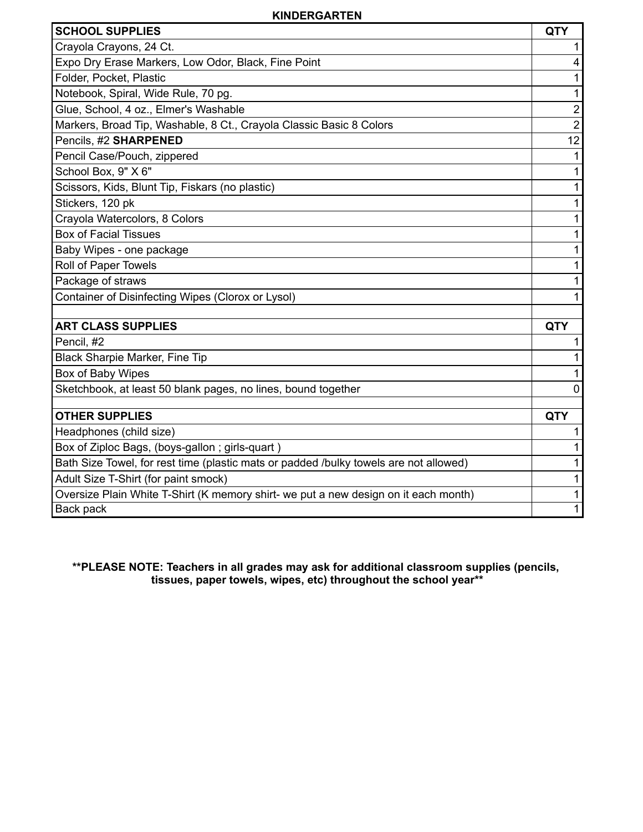## **KINDERGARTEN**

| <b>SCHOOL SUPPLIES</b>                                                                                                        | QTY            |
|-------------------------------------------------------------------------------------------------------------------------------|----------------|
| Crayola Crayons, 24 Ct.                                                                                                       | 1              |
| Expo Dry Erase Markers, Low Odor, Black, Fine Point                                                                           | 4              |
| Folder, Pocket, Plastic                                                                                                       | 1              |
| Notebook, Spiral, Wide Rule, 70 pg.                                                                                           | 1              |
| Glue, School, 4 oz., Elmer's Washable                                                                                         | $\mathbf 2$    |
| Markers, Broad Tip, Washable, 8 Ct., Crayola Classic Basic 8 Colors                                                           | $\overline{2}$ |
| Pencils, #2 SHARPENED                                                                                                         | 12             |
| Pencil Case/Pouch, zippered                                                                                                   | $\mathbf 1$    |
| School Box, 9" X 6"                                                                                                           | 1              |
| Scissors, Kids, Blunt Tip, Fiskars (no plastic)                                                                               | 1              |
| Stickers, 120 pk                                                                                                              | 1              |
| Crayola Watercolors, 8 Colors                                                                                                 | 1              |
| <b>Box of Facial Tissues</b>                                                                                                  | 1              |
| Baby Wipes - one package                                                                                                      | 1              |
| Roll of Paper Towels                                                                                                          | 1              |
| Package of straws                                                                                                             | 1              |
| Container of Disinfecting Wipes (Clorox or Lysol)                                                                             | 1              |
|                                                                                                                               |                |
| <b>ART CLASS SUPPLIES</b>                                                                                                     | <b>QTY</b>     |
| Pencil, #2                                                                                                                    | 1              |
| Black Sharpie Marker, Fine Tip                                                                                                | 1              |
| Box of Baby Wipes                                                                                                             | 1              |
| Sketchbook, at least 50 blank pages, no lines, bound together                                                                 | $\mathbf{0}$   |
| <b>OTHER SUPPLIES</b>                                                                                                         | QTY            |
|                                                                                                                               |                |
| Headphones (child size)                                                                                                       | 1              |
| Box of Ziploc Bags, (boys-gallon; girls-quart)                                                                                | 1              |
| Bath Size Towel, for rest time (plastic mats or padded /bulky towels are not allowed)<br>Adult Size T-Shirt (for paint smock) | 1<br>1         |
| Oversize Plain White T-Shirt (K memory shirt- we put a new design on it each month)                                           |                |
| Back pack                                                                                                                     | 1<br>1         |
|                                                                                                                               |                |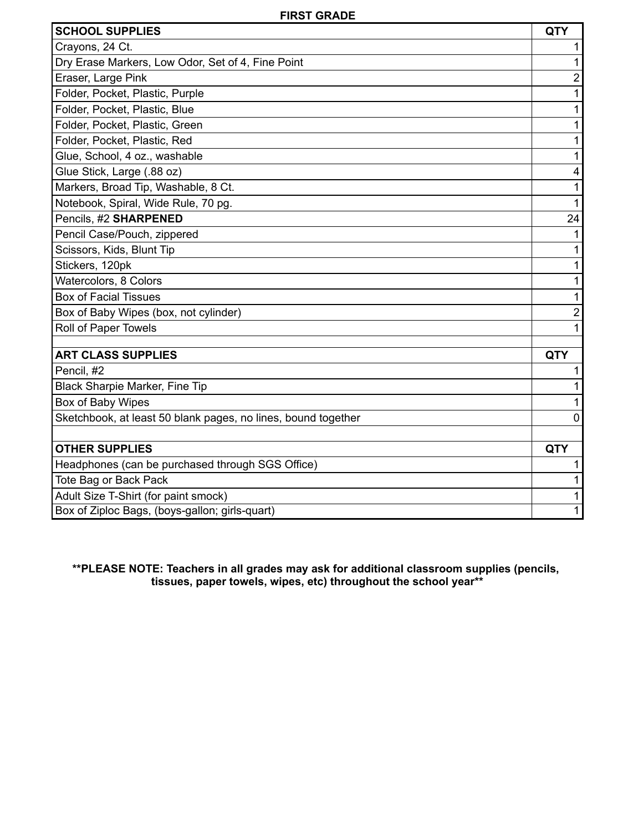| <b>SCHOOL SUPPLIES</b>                                                    | <b>QTY</b>     |
|---------------------------------------------------------------------------|----------------|
| Crayons, 24 Ct.                                                           |                |
| Dry Erase Markers, Low Odor, Set of 4, Fine Point                         | 1              |
| Eraser, Large Pink                                                        | $\overline{2}$ |
| Folder, Pocket, Plastic, Purple                                           | 1              |
| Folder, Pocket, Plastic, Blue                                             | 1              |
| Folder, Pocket, Plastic, Green                                            | 1              |
| Folder, Pocket, Plastic, Red                                              | 1              |
| Glue, School, 4 oz., washable                                             | 1              |
| Glue Stick, Large (.88 oz)                                                | 4              |
| Markers, Broad Tip, Washable, 8 Ct.                                       | 1              |
| Notebook, Spiral, Wide Rule, 70 pg.                                       | 1              |
| Pencils, #2 SHARPENED                                                     | 24             |
| Pencil Case/Pouch, zippered                                               |                |
| Scissors, Kids, Blunt Tip                                                 | 1              |
| Stickers, 120pk                                                           | 1              |
| Watercolors, 8 Colors                                                     | 1              |
| <b>Box of Facial Tissues</b>                                              | 1              |
| Box of Baby Wipes (box, not cylinder)                                     | $\overline{2}$ |
| Roll of Paper Towels                                                      | 1              |
|                                                                           |                |
| <b>ART CLASS SUPPLIES</b>                                                 | <b>QTY</b>     |
| Pencil, #2                                                                | 1              |
| Black Sharpie Marker, Fine Tip                                            |                |
| Box of Baby Wipes                                                         |                |
| Sketchbook, at least 50 blank pages, no lines, bound together             | $\mathbf 0$    |
| <b>OTHER SUPPLIES</b>                                                     | <b>QTY</b>     |
|                                                                           | 1              |
| Headphones (can be purchased through SGS Office)<br>Tote Bag or Back Pack |                |
|                                                                           | 1              |
| Adult Size T-Shirt (for paint smock)                                      | 1              |
| Box of Ziploc Bags, (boys-gallon; girls-quart)                            |                |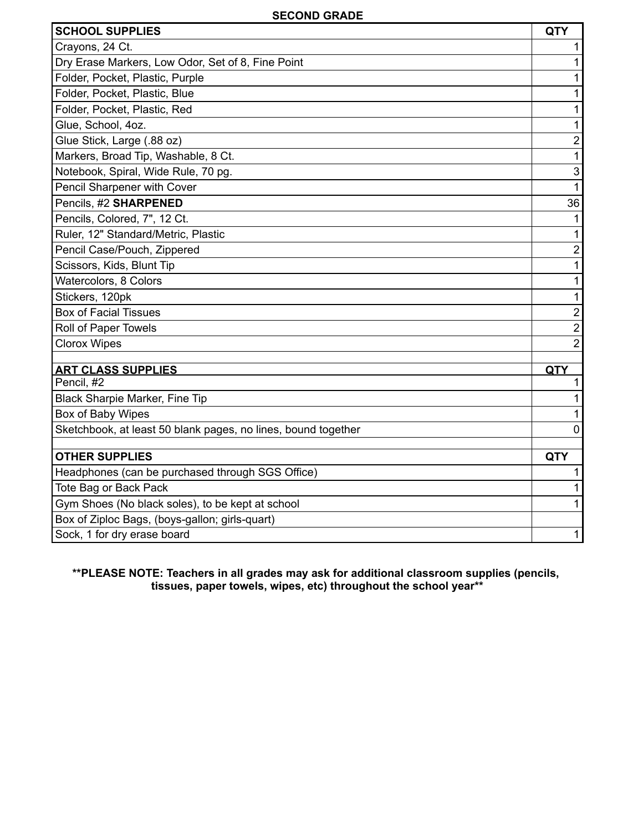| <b>SCHOOL SUPPLIES</b>                                        | <b>QTY</b>              |
|---------------------------------------------------------------|-------------------------|
| Crayons, 24 Ct.                                               | 1                       |
| Dry Erase Markers, Low Odor, Set of 8, Fine Point             | 1                       |
| Folder, Pocket, Plastic, Purple                               | 1                       |
| Folder, Pocket, Plastic, Blue                                 | 1                       |
| Folder, Pocket, Plastic, Red                                  | 1                       |
| Glue, School, 4oz.                                            | 1                       |
| Glue Stick, Large (.88 oz)                                    | $\mathbf 2$             |
| Markers, Broad Tip, Washable, 8 Ct.                           | 1                       |
| Notebook, Spiral, Wide Rule, 70 pg.                           | $\mathfrak{S}$          |
| Pencil Sharpener with Cover                                   | $\mathbf{1}$            |
| Pencils, #2 SHARPENED                                         | 36                      |
| Pencils, Colored, 7", 12 Ct.                                  | $\mathbf{1}$            |
| Ruler, 12" Standard/Metric, Plastic                           | $\mathbf{1}$            |
| Pencil Case/Pouch, Zippered                                   | $\mathbf{2}$            |
| Scissors, Kids, Blunt Tip                                     | 1                       |
| Watercolors, 8 Colors                                         | 1                       |
| Stickers, 120pk                                               | $\mathbf 1$             |
| <b>Box of Facial Tissues</b>                                  | $\overline{\mathbf{c}}$ |
| Roll of Paper Towels                                          | $\overline{2}$          |
| <b>Clorox Wipes</b>                                           | $\overline{2}$          |
|                                                               |                         |
| <b>ART CLASS SUPPLIES</b><br>Pencil, #2                       | QTY<br>1                |
| Black Sharpie Marker, Fine Tip                                | 1                       |
| Box of Baby Wipes                                             | 1                       |
| Sketchbook, at least 50 blank pages, no lines, bound together | $\Omega$                |
|                                                               |                         |
| <b>OTHER SUPPLIES</b>                                         | QTY                     |
| Headphones (can be purchased through SGS Office)              | 1                       |
| Tote Bag or Back Pack                                         | 1                       |
| Gym Shoes (No black soles), to be kept at school              | 1                       |
| Box of Ziploc Bags, (boys-gallon; girls-quart)                |                         |
| Sock, 1 for dry erase board                                   | 1                       |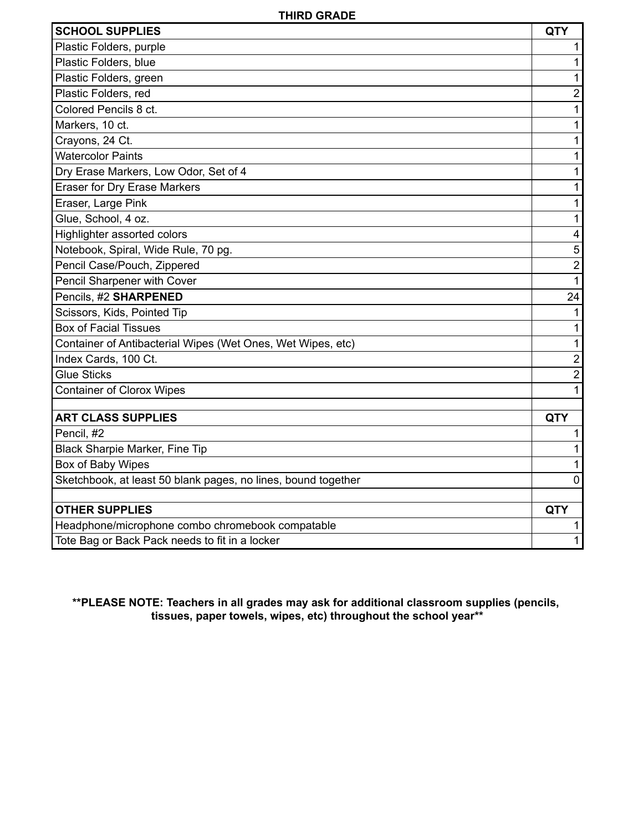| <b>SCHOOL SUPPLIES</b>                                        | <b>QTY</b>     |
|---------------------------------------------------------------|----------------|
| Plastic Folders, purple                                       |                |
| Plastic Folders, blue                                         | 1              |
| Plastic Folders, green                                        | 1              |
| Plastic Folders, red                                          | $\overline{2}$ |
| Colored Pencils 8 ct.                                         | 1              |
| Markers, 10 ct.                                               | 1              |
| Crayons, 24 Ct.                                               | 1              |
| <b>Watercolor Paints</b>                                      | 1              |
| Dry Erase Markers, Low Odor, Set of 4                         | 1              |
| <b>Eraser for Dry Erase Markers</b>                           | 1              |
| Eraser, Large Pink                                            | 1              |
| Glue, School, 4 oz.                                           | 1              |
| Highlighter assorted colors                                   | 4              |
| Notebook, Spiral, Wide Rule, 70 pg.                           | 5              |
| Pencil Case/Pouch, Zippered                                   | $\overline{c}$ |
| Pencil Sharpener with Cover                                   | $\mathbf{1}$   |
| Pencils, #2 SHARPENED                                         | 24             |
| Scissors, Kids, Pointed Tip                                   | 1              |
| <b>Box of Facial Tissues</b>                                  | 1              |
| Container of Antibacterial Wipes (Wet Ones, Wet Wipes, etc)   | 1              |
| Index Cards, 100 Ct.                                          | $\overline{2}$ |
| <b>Glue Sticks</b>                                            | $\overline{2}$ |
| <b>Container of Clorox Wipes</b>                              | 1              |
| <b>ART CLASS SUPPLIES</b>                                     | <b>QTY</b>     |
| Pencil, #2                                                    | 1              |
| Black Sharpie Marker, Fine Tip                                | 1              |
| Box of Baby Wipes                                             | 1              |
| Sketchbook, at least 50 blank pages, no lines, bound together | 0              |
|                                                               |                |
| <b>OTHER SUPPLIES</b>                                         | <b>QTY</b>     |
| Headphone/microphone combo chromebook compatable              |                |
| Tote Bag or Back Pack needs to fit in a locker                | 1              |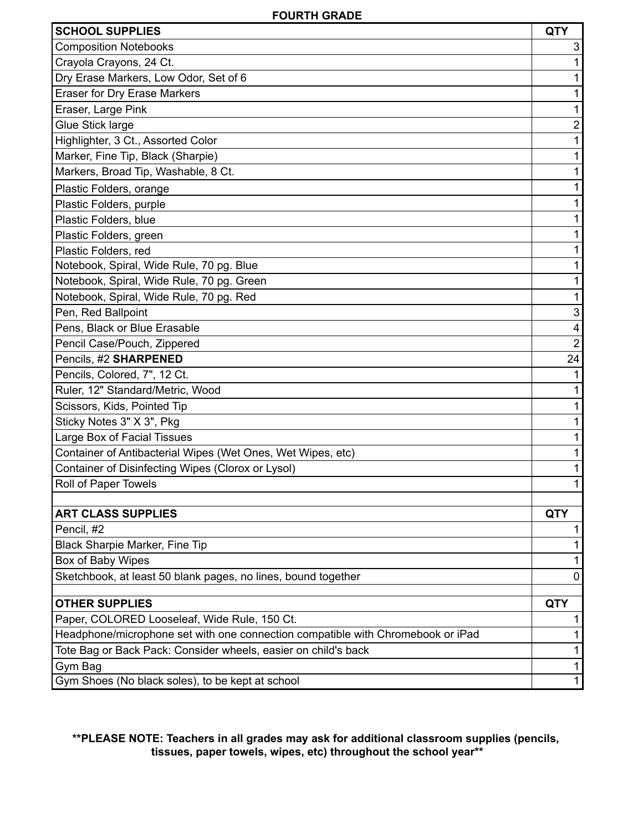| <b>SCHOOL SUPPLIES</b>                                                          | <b>QTY</b>                |
|---------------------------------------------------------------------------------|---------------------------|
| <b>Composition Notebooks</b>                                                    | 3                         |
| Crayola Crayons, 24 Ct.                                                         | 1                         |
| Dry Erase Markers, Low Odor, Set of 6                                           | 1                         |
| <b>Eraser for Dry Erase Markers</b>                                             | 1                         |
| Eraser, Large Pink                                                              | 1                         |
| Glue Stick large                                                                | $\boldsymbol{2}$          |
| Highlighter, 3 Ct., Assorted Color                                              | 1                         |
| Marker, Fine Tip, Black (Sharpie)                                               | 1                         |
| Markers, Broad Tip, Washable, 8 Ct.                                             | 1                         |
| Plastic Folders, orange                                                         | 1                         |
| Plastic Folders, purple                                                         | 1                         |
| Plastic Folders, blue                                                           | 1                         |
| Plastic Folders, green                                                          |                           |
| Plastic Folders, red                                                            | 1                         |
| Notebook, Spiral, Wide Rule, 70 pg. Blue                                        | 1                         |
| Notebook, Spiral, Wide Rule, 70 pg. Green                                       | 1                         |
| Notebook, Spiral, Wide Rule, 70 pg. Red                                         | 1                         |
| Pen, Red Ballpoint                                                              | $\ensuremath{\mathsf{3}}$ |
| Pens, Black or Blue Erasable                                                    | $\overline{\mathbf{4}}$   |
| Pencil Case/Pouch, Zippered                                                     | $\overline{2}$            |
| Pencils, #2 SHARPENED                                                           | 24                        |
| Pencils, Colored, 7", 12 Ct.                                                    | 1                         |
| Ruler, 12" Standard/Metric, Wood                                                | 1                         |
| Scissors, Kids, Pointed Tip                                                     | 1                         |
| Sticky Notes 3" X 3", Pkg                                                       | 1                         |
| Large Box of Facial Tissues                                                     | 1                         |
| Container of Antibacterial Wipes (Wet Ones, Wet Wipes, etc)                     | 1                         |
| Container of Disinfecting Wipes (Clorox or Lysol)                               | 1                         |
| Roll of Paper Towels                                                            | 1                         |
|                                                                                 |                           |
| <b>ART CLASS SUPPLIES</b>                                                       | <b>QTY</b>                |
| Pencil, #2                                                                      | 1                         |
| Black Sharpie Marker, Fine Tip                                                  | 1                         |
| Box of Baby Wipes                                                               | 1                         |
| Sketchbook, at least 50 blank pages, no lines, bound together                   | $\mathbf 0$               |
| <b>OTHER SUPPLIES</b>                                                           | <b>QTY</b>                |
| Paper, COLORED Looseleaf, Wide Rule, 150 Ct.                                    | 1                         |
| Headphone/microphone set with one connection compatible with Chromebook or iPad |                           |
| Tote Bag or Back Pack: Consider wheels, easier on child's back                  | 1<br>1                    |
| Gym Bag                                                                         | 1                         |
| Gym Shoes (No black soles), to be kept at school                                | 1                         |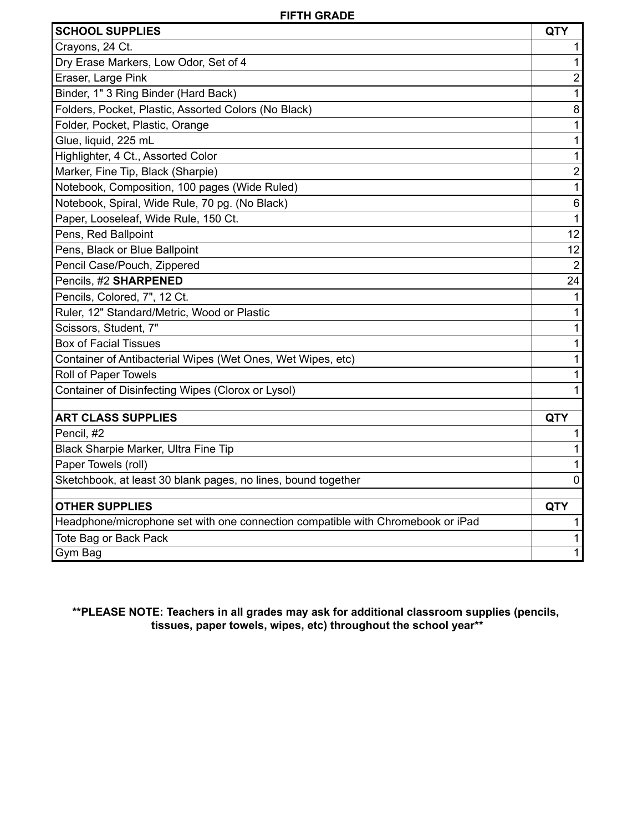| <b>SCHOOL SUPPLIES</b>                                                          | <b>QTY</b>     |
|---------------------------------------------------------------------------------|----------------|
| Crayons, 24 Ct.                                                                 | 1              |
| Dry Erase Markers, Low Odor, Set of 4                                           | 1              |
| Eraser, Large Pink                                                              | $\overline{2}$ |
| Binder, 1" 3 Ring Binder (Hard Back)                                            | 1              |
| Folders, Pocket, Plastic, Assorted Colors (No Black)                            | 8              |
| Folder, Pocket, Plastic, Orange                                                 | 1              |
| Glue, liquid, 225 mL                                                            | $\mathbf{1}$   |
| Highlighter, 4 Ct., Assorted Color                                              | 1              |
| Marker, Fine Tip, Black (Sharpie)                                               | $\mathbf 2$    |
| Notebook, Composition, 100 pages (Wide Ruled)                                   | $\mathbf 1$    |
| Notebook, Spiral, Wide Rule, 70 pg. (No Black)                                  | $\,6\,$        |
| Paper, Looseleaf, Wide Rule, 150 Ct.                                            | $\mathbf{1}$   |
| Pens, Red Ballpoint                                                             | 12             |
| Pens, Black or Blue Ballpoint                                                   | 12             |
| Pencil Case/Pouch, Zippered                                                     | $\overline{2}$ |
| Pencils, #2 SHARPENED                                                           | 24             |
| Pencils, Colored, 7", 12 Ct.                                                    | $\mathbf{1}$   |
| Ruler, 12" Standard/Metric, Wood or Plastic                                     | $\mathbf{1}$   |
| Scissors, Student, 7"                                                           | 1              |
| <b>Box of Facial Tissues</b>                                                    | 1              |
| Container of Antibacterial Wipes (Wet Ones, Wet Wipes, etc)                     | 1              |
| Roll of Paper Towels                                                            | 1              |
| Container of Disinfecting Wipes (Clorox or Lysol)                               | 1              |
| <b>ART CLASS SUPPLIES</b>                                                       | <b>QTY</b>     |
| Pencil, #2                                                                      | 1              |
| Black Sharpie Marker, Ultra Fine Tip                                            | 1              |
| Paper Towels (roll)                                                             | 1              |
| Sketchbook, at least 30 blank pages, no lines, bound together                   | $\mathbf 0$    |
| <b>OTHER SUPPLIES</b>                                                           | <b>QTY</b>     |
| Headphone/microphone set with one connection compatible with Chromebook or iPad | 1              |
| Tote Bag or Back Pack                                                           | 1              |
| Gym Bag                                                                         | 1              |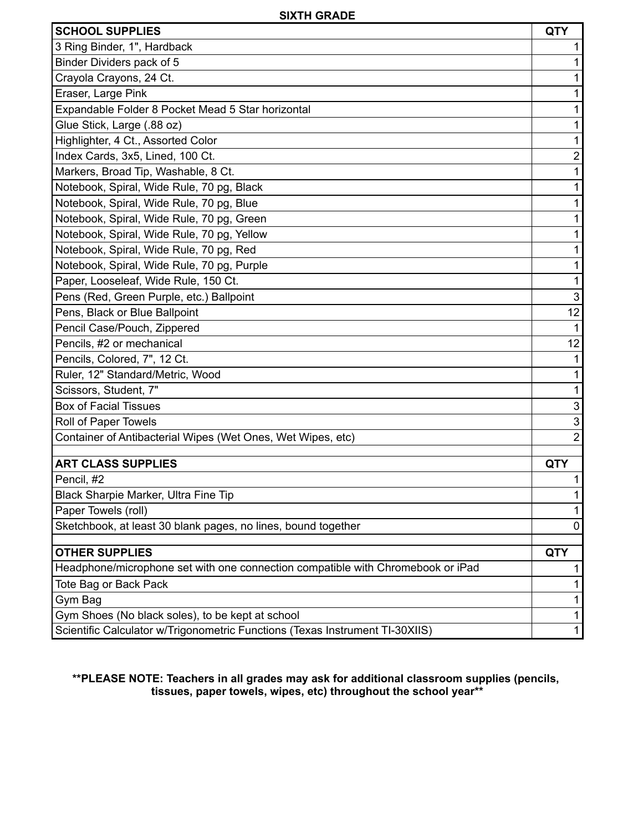| <b>SCHOOL SUPPLIES</b>                                                          | <b>QTY</b>                |
|---------------------------------------------------------------------------------|---------------------------|
| 3 Ring Binder, 1", Hardback                                                     |                           |
| Binder Dividers pack of 5                                                       |                           |
| Crayola Crayons, 24 Ct.                                                         | 1                         |
| Eraser, Large Pink                                                              | 1                         |
| Expandable Folder 8 Pocket Mead 5 Star horizontal                               | 1                         |
| Glue Stick, Large (.88 oz)                                                      | 1                         |
| Highlighter, 4 Ct., Assorted Color                                              | 1                         |
| Index Cards, 3x5, Lined, 100 Ct.                                                | $\overline{\mathbf{c}}$   |
| Markers, Broad Tip, Washable, 8 Ct.                                             | 1                         |
| Notebook, Spiral, Wide Rule, 70 pg, Black                                       | 1                         |
| Notebook, Spiral, Wide Rule, 70 pg, Blue                                        | 1                         |
| Notebook, Spiral, Wide Rule, 70 pg, Green                                       | 1                         |
| Notebook, Spiral, Wide Rule, 70 pg, Yellow                                      | 1                         |
| Notebook, Spiral, Wide Rule, 70 pg, Red                                         | 1                         |
| Notebook, Spiral, Wide Rule, 70 pg, Purple                                      | 1                         |
| Paper, Looseleaf, Wide Rule, 150 Ct.                                            | 1                         |
| Pens (Red, Green Purple, etc.) Ballpoint                                        | $\mathfrak{B}$            |
| Pens, Black or Blue Ballpoint                                                   | 12                        |
| Pencil Case/Pouch, Zippered                                                     | $\mathbf{1}$              |
| Pencils, #2 or mechanical                                                       | 12                        |
| Pencils, Colored, 7", 12 Ct.                                                    | 1                         |
| Ruler, 12" Standard/Metric, Wood                                                | 1                         |
| Scissors, Student, 7"                                                           | 1                         |
| <b>Box of Facial Tissues</b>                                                    | $\ensuremath{\mathsf{3}}$ |
| Roll of Paper Towels                                                            | 3                         |
| Container of Antibacterial Wipes (Wet Ones, Wet Wipes, etc)                     | $\overline{2}$            |
| <b>ART CLASS SUPPLIES</b>                                                       | <b>QTY</b>                |
| Pencil, #2                                                                      | 1                         |
| Black Sharpie Marker, Ultra Fine Tip                                            | 1                         |
| Paper Towels (roll)                                                             | 1                         |
| Sketchbook, at least 30 blank pages, no lines, bound together                   | 0                         |
| <b>OTHER SUPPLIES</b>                                                           | <b>QTY</b>                |
| Headphone/microphone set with one connection compatible with Chromebook or iPad | 1                         |
| Tote Bag or Back Pack                                                           | 1                         |
| Gym Bag                                                                         | 1                         |
| Gym Shoes (No black soles), to be kept at school                                | 1                         |
| Scientific Calculator w/Trigonometric Functions (Texas Instrument TI-30XIIS)    | 1                         |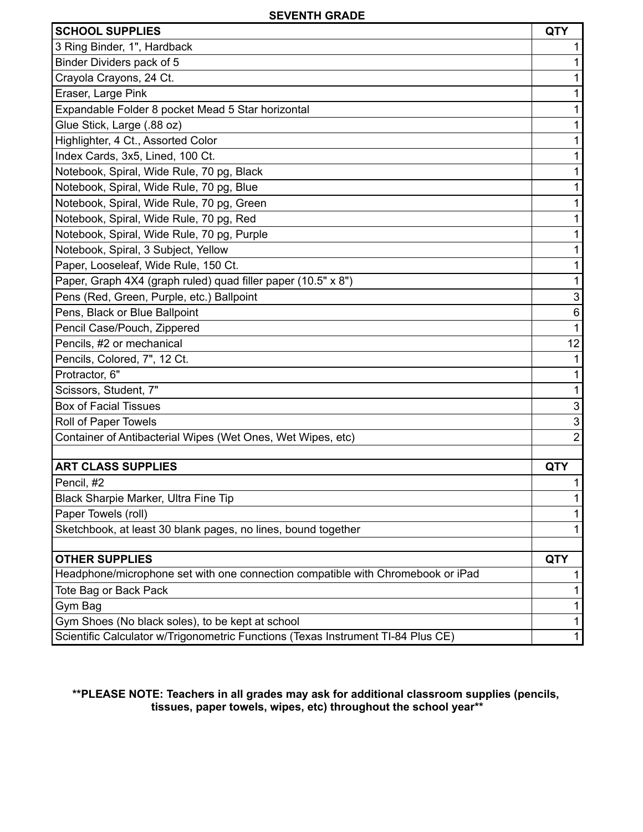| <b>SCHOOL SUPPLIES</b>                                                           | <b>QTY</b>                |
|----------------------------------------------------------------------------------|---------------------------|
| 3 Ring Binder, 1", Hardback                                                      |                           |
| Binder Dividers pack of 5                                                        | 1                         |
| Crayola Crayons, 24 Ct.                                                          | 1                         |
| Eraser, Large Pink                                                               | 1                         |
| Expandable Folder 8 pocket Mead 5 Star horizontal                                | 1                         |
| Glue Stick, Large (.88 oz)                                                       | 1                         |
| Highlighter, 4 Ct., Assorted Color                                               | 1                         |
| Index Cards, 3x5, Lined, 100 Ct.                                                 | 1                         |
| Notebook, Spiral, Wide Rule, 70 pg, Black                                        |                           |
| Notebook, Spiral, Wide Rule, 70 pg, Blue                                         | 1                         |
| Notebook, Spiral, Wide Rule, 70 pg, Green                                        |                           |
| Notebook, Spiral, Wide Rule, 70 pg, Red                                          | 1                         |
| Notebook, Spiral, Wide Rule, 70 pg, Purple                                       |                           |
| Notebook, Spiral, 3 Subject, Yellow                                              | 1                         |
| Paper, Looseleaf, Wide Rule, 150 Ct.                                             | 1                         |
| Paper, Graph 4X4 (graph ruled) quad filler paper (10.5" x 8")                    | 1                         |
| Pens (Red, Green, Purple, etc.) Ballpoint                                        | 3                         |
| Pens, Black or Blue Ballpoint                                                    | 6                         |
| Pencil Case/Pouch, Zippered                                                      | 1                         |
| Pencils, #2 or mechanical                                                        | 12                        |
| Pencils, Colored, 7", 12 Ct.                                                     | 1                         |
| Protractor, 6"                                                                   | 1                         |
| Scissors, Student, 7"                                                            | 1                         |
| <b>Box of Facial Tissues</b>                                                     | $\ensuremath{\mathsf{3}}$ |
| Roll of Paper Towels                                                             | $\ensuremath{\mathsf{3}}$ |
| Container of Antibacterial Wipes (Wet Ones, Wet Wipes, etc)                      | $\overline{2}$            |
|                                                                                  |                           |
| <b>ART CLASS SUPPLIES</b>                                                        | <b>QTY</b>                |
| Pencil, #2                                                                       |                           |
| Black Sharpie Marker, Ultra Fine Tip                                             | 1                         |
| Paper Towels (roll)                                                              |                           |
| Sketchbook, at least 30 blank pages, no lines, bound together                    | 1                         |
| <b>OTHER SUPPLIES</b>                                                            | <b>QTY</b>                |
| Headphone/microphone set with one connection compatible with Chromebook or iPad  | 1                         |
| Tote Bag or Back Pack                                                            |                           |
| Gym Bag                                                                          | 1                         |
| Gym Shoes (No black soles), to be kept at school                                 | 1                         |
| Scientific Calculator w/Trigonometric Functions (Texas Instrument TI-84 Plus CE) | $\mathbf{1}$              |